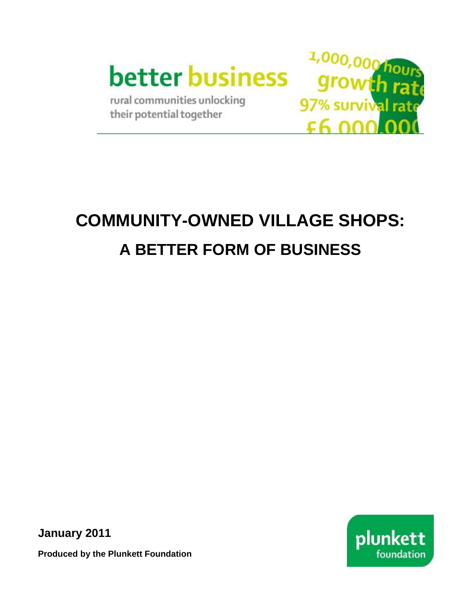

rural communities unlocking their potential together



# **COMMUNITY-OWNED VILLAGE SHOPS: A BETTER FORM OF BUSINESS**

**January 2011** 



**Produced by the Plunkett Foundation**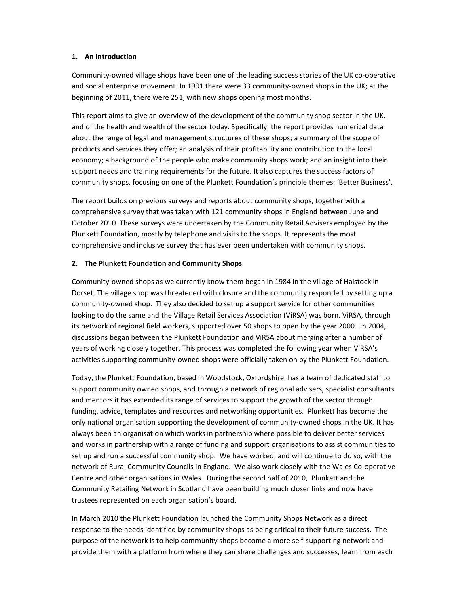## **1. An Introduction**

Community‐owned village shops have been one of the leading success stories of the UK co‐operative and social enterprise movement. In 1991 there were 33 community-owned shops in the UK; at the beginning of 2011, there were 251, with new shops opening most months.

This report aims to give an overview of the development of the community shop sector in the UK, and of the health and wealth of the sector today. Specifically, the report provides numerical data about the range of legal and management structures of these shops; a summary of the scope of products and services they offer; an analysis of their profitability and contribution to the local economy; a background of the people who make community shops work; and an insight into their support needs and training requirements for the future. It also captures the success factors of community shops, focusing on one of the Plunkett Foundation's principle themes: 'Better Business'.

The report builds on previous surveys and reports about community shops, together with a comprehensive survey that was taken with 121 community shops in England between June and October 2010. These surveys were undertaken by the Community Retail Advisers employed by the Plunkett Foundation, mostly by telephone and visits to the shops. It represents the most comprehensive and inclusive survey that has ever been undertaken with community shops.

## **2. The Plunkett Foundation and Community Shops**

Community‐owned shops as we currently know them began in 1984 in the village of Halstock in Dorset. The village shop was threatened with closure and the community responded by setting up a community-owned shop. They also decided to set up a support service for other communities looking to do the same and the Village Retail Services Association (ViRSA) was born. ViRSA, through its network of regional field workers, supported over 50 shops to open by the year 2000. In 2004, discussions began between the Plunkett Foundation and ViRSA about merging after a number of years of working closely together. This process was completed the following year when ViRSA's activities supporting community‐owned shops were officially taken on by the Plunkett Foundation.

Today, the Plunkett Foundation, based in Woodstock, Oxfordshire, has a team of dedicated staff to support community owned shops, and through a network of regional advisers, specialist consultants and mentors it has extended its range of services to support the growth of the sector through funding, advice, templates and resources and networking opportunities. Plunkett has become the only national organisation supporting the development of community‐owned shops in the UK. It has always been an organisation which works in partnership where possible to deliver better services and works in partnership with a range of funding and support organisations to assist communities to set up and run a successful community shop. We have worked, and will continue to do so, with the network of Rural Community Councils in England. We also work closely with the Wales Co‐operative Centre and other organisations in Wales. During the second half of 2010, Plunkett and the Community Retailing Network in Scotland have been building much closer links and now have trustees represented on each organisation's board.

In March 2010 the Plunkett Foundation launched the Community Shops Network as a direct response to the needs identified by community shops as being critical to their future success. The purpose of the network is to help community shops become a more self‐supporting network and provide them with a platform from where they can share challenges and successes, learn from each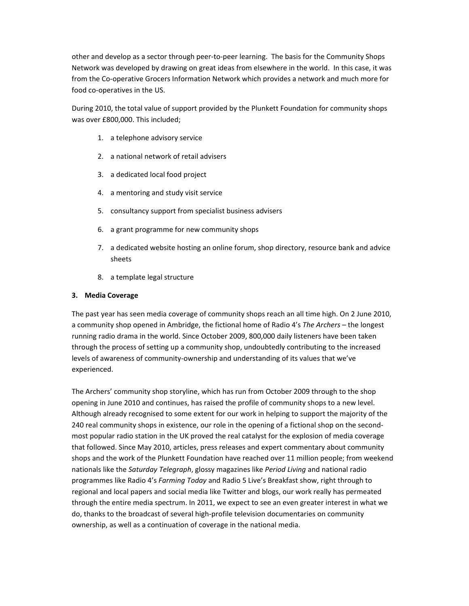other and develop as a sector through peer‐to‐peer learning. The basis for the Community Shops Network was developed by drawing on great ideas from elsewhere in the world. In this case, it was from the Co-operative Grocers Information Network which provides a network and much more for food co-operatives in the US.

During 2010, the total value of support provided by the Plunkett Foundation for community shops was over £800,000. This included;

- 1. a telephone advisory service
- 2. a national network of retail advisers
- 3. a dedicated local food project
- 4. a mentoring and study visit service
- 5. consultancy support from specialist business advisers
- 6. a grant programme for new community shops
- 7. a dedicated website hosting an online forum, shop directory, resource bank and advice sheets
- 8. a template legal structure

## **3. Media Coverage**

The past year has seen media coverage of community shops reach an all time high. On 2 June 2010, a community shop opened in Ambridge, the fictional home of Radio 4's *The Archers* – the longest running radio drama in the world. Since October 2009, 800,000 daily listeners have been taken through the process of setting up a community shop, undoubtedly contributing to the increased levels of awareness of community‐ownership and understanding of its values that we've experienced.

The Archers' community shop storyline, which has run from October 2009 through to the shop opening in June 2010 and continues, has raised the profile of community shops to a new level. Although already recognised to some extent for our work in helping to support the majority of the 240 real community shops in existence, our role in the opening of a fictional shop on the secondmost popular radio station in the UK proved the real catalyst for the explosion of media coverage that followed. Since May 2010, articles, press releases and expert commentary about community shops and the work of the Plunkett Foundation have reached over 11 million people; from weekend nationals like the *Saturday Telegraph*, glossy magazines like *Period Living* and national radio programmes like Radio 4's *Farming Today* and Radio 5 Live's Breakfast show, right through to regional and local papers and social media like Twitter and blogs, our work really has permeated through the entire media spectrum. In 2011, we expect to see an even greater interest in what we do, thanks to the broadcast of several high‐profile television documentaries on community ownership, as well as a continuation of coverage in the national media.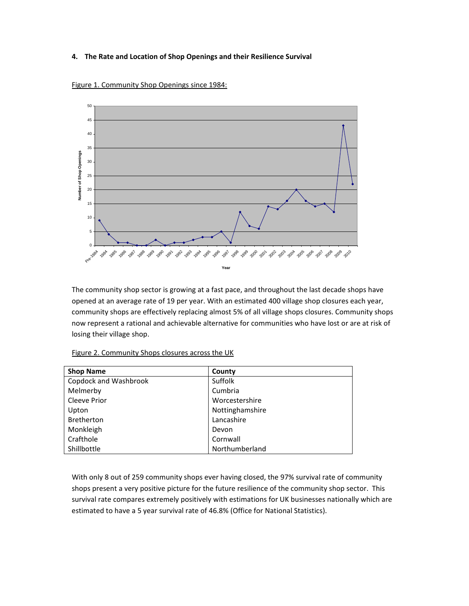## **4. The Rate and Location of Shop Openings and their Resilience Survival**



Figure 1. Community Shop Openings since 1984:

The community shop sector is growing at a fast pace, and throughout the last decade shops have opened at an average rate of 19 per year. With an estimated 400 village shop closures each year, community shops are effectively replacing almost 5% of all village shops closures. Community shops now represent a rational and achievable alternative for communities who have lost or are at risk of losing their village shop.

Figure 2. Community Shops closures across the UK

| <b>Shop Name</b>      | County          |
|-----------------------|-----------------|
| Copdock and Washbrook | Suffolk         |
| Melmerby              | Cumbria         |
| Cleeve Prior          | Worcestershire  |
| Upton                 | Nottinghamshire |
| Bretherton            | Lancashire      |
| Monkleigh             | Devon           |
| Crafthole             | Cornwall        |
| Shillbottle           | Northumberland  |

With only 8 out of 259 community shops ever having closed, the 97% survival rate of community shops present a very positive picture for the future resilience of the community shop sector. This survival rate compares extremely positively with estimations for UK businesses nationally which are estimated to have a 5 year survival rate of 46.8% (Office for National Statistics).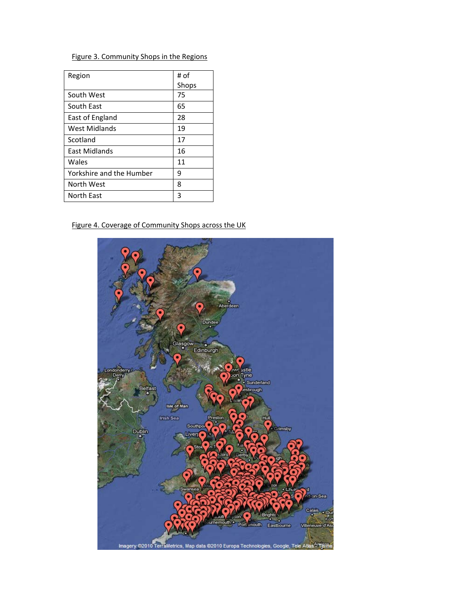## Figure 3. Community Shops in the Regions

| Region                   | # of  |
|--------------------------|-------|
|                          | Shops |
| South West               | 75    |
| South East               | 65    |
| East of England          | 28    |
| West Midlands            | 19    |
| Scotland                 | 17    |
| <b>East Midlands</b>     | 16    |
| Wales                    | 11    |
| Yorkshire and the Humber | ٩     |
| North West               | 8     |
| North East               | 3     |

## Figure 4. Coverage of Community Shops across the UK

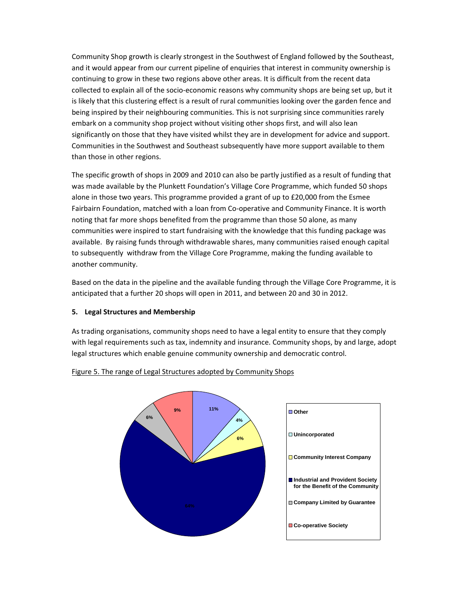Community Shop growth is clearly strongest in the Southwest of England followed by the Southeast, and it would appear from our current pipeline of enquiries that interest in community ownership is continuing to grow in these two regions above other areas. It is difficult from the recent data collected to explain all of the socio‐economic reasons why community shops are being set up, but it is likely that this clustering effect is a result of rural communities looking over the garden fence and being inspired by their neighbouring communities. This is not surprising since communities rarely embark on a community shop project without visiting other shops first, and will also lean significantly on those that they have visited whilst they are in development for advice and support. Communities in the Southwest and Southeast subsequently have more support available to them than those in other regions.

The specific growth of shops in 2009 and 2010 can also be partly justified as a result of funding that was made available by the Plunkett Foundation's Village Core Programme, which funded 50 shops alone in those two years. This programme provided a grant of up to £20,000 from the Esmee Fairbairn Foundation, matched with a loan from Co-operative and Community Finance. It is worth noting that far more shops benefited from the programme than those 50 alone, as many communities were inspired to start fundraising with the knowledge that this funding package was available. By raising funds through withdrawable shares, many communities raised enough capital to subsequently withdraw from the Village Core Programme, making the funding available to another community.

Based on the data in the pipeline and the available funding through the Village Core Programme, it is anticipated that a further 20 shops will open in 2011, and between 20 and 30 in 2012.

## **5. Legal Structures and Membership**

As trading organisations, community shops need to have a legal entity to ensure that they comply with legal requirements such as tax, indemnity and insurance. Community shops, by and large, adopt legal structures which enable genuine community ownership and democratic control.



#### Figure 5. The range of Legal Structures adopted by Community Shops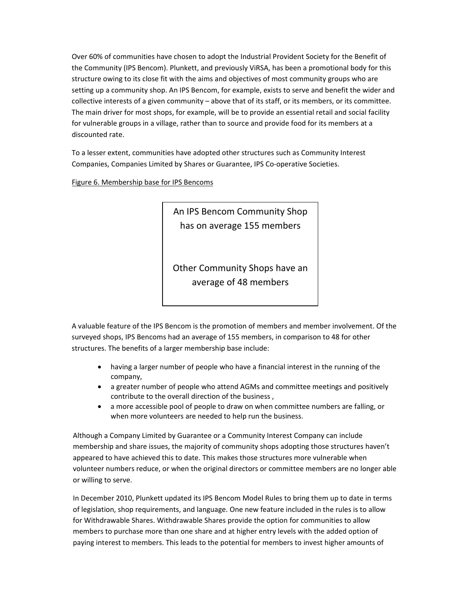Over 60% of communities have chosen to adopt the Industrial Provident Society for the Benefit of the Community (IPS Bencom). Plunkett, and previously ViRSA, has been a promotional body for this structure owing to its close fit with the aims and objectives of most community groups who are setting up a community shop. An IPS Bencom, for example, exists to serve and benefit the wider and collective interests of a given community – above that of its staff, or its members, or its committee. The main driver for most shops, for example, will be to provide an essential retail and social facility for vulnerable groups in a village, rather than to source and provide food for its members at a discounted rate.

To a lesser extent, communities have adopted other structures such as Community Interest Companies, Companies Limited by Shares or Guarantee, IPS Co‐operative Societies.

Figure 6. Membership base for IPS Bencoms

An IPS Bencom Community Shop has on average 155 members

Other Community Shops have an average of 48 members

A valuable feature of the IPS Bencom is the promotion of members and member involvement. Of the surveyed shops, IPS Bencoms had an average of 155 members, in comparison to 48 for other structures. The benefits of a larger membership base include:

- having a larger number of people who have a financial interest in the running of the company,
- a greater number of people who attend AGMs and committee meetings and positively contribute to the overall direction of the business ,
- a more accessible pool of people to draw on when committee numbers are falling, or when more volunteers are needed to help run the business.

Although a Company Limited by Guarantee or a Community Interest Company can include membership and share issues, the majority of community shops adopting those structures haven't appeared to have achieved this to date. This makes those structures more vulnerable when volunteer numbers reduce, or when the original directors or committee members are no longer able or willing to serve.

In December 2010, Plunkett updated its IPS Bencom Model Rules to bring them up to date in terms of legislation, shop requirements, and language. One new feature included in the rules is to allow for Withdrawable Shares. Withdrawable Shares provide the option for communities to allow members to purchase more than one share and at higher entry levels with the added option of paying interest to members. This leads to the potential for members to invest higher amounts of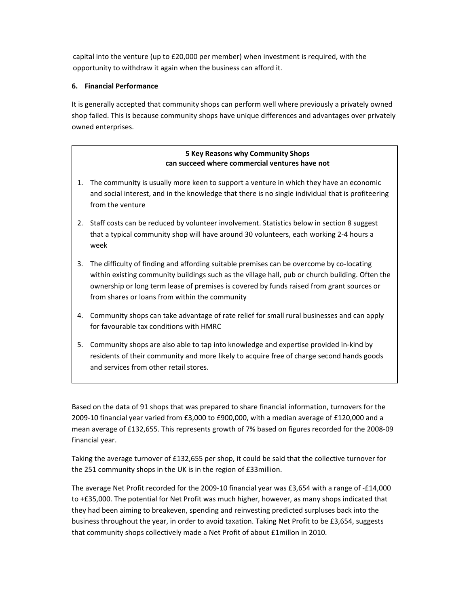capital into the venture (up to £20,000 per member) when investment is required, with the opportunity to withdraw it again when the business can afford it.

## **6. Financial Performance**

It is generally accepted that community shops can perform well where previously a privately owned shop failed. This is because community shops have unique differences and advantages over privately owned enterprises.

## **5 Key Reasons why Community Shops can succeed where commercial ventures have not**

- 1. The community is usually more keen to support a venture in which they have an economic and social interest, and in the knowledge that there is no single individual that is profiteering from the venture
- 2. Staff costs can be reduced by volunteer involvement. Statistics below in section 8 suggest that a typical community shop will have around 30 volunteers, each working 2‐4 hours a week
- 3. The difficulty of finding and affording suitable premises can be overcome by co-locating within existing community buildings such as the village hall, pub or church building. Often the ownership or long term lease of premises is covered by funds raised from grant sources or from shares or loans from within the community
- 4. Community shops can take advantage of rate relief for small rural businesses and can apply for favourable tax conditions with HMRC
- 5. Community shops are also able to tap into knowledge and expertise provided in-kind by residents of their community and more likely to acquire free of charge second hands goods and services from other retail stores.

Based on the data of 91 shops that was prepared to share financial information, turnovers for the 2009‐10 financial year varied from £3,000 to £900,000, with a median average of £120,000 and a mean average of £132,655. This represents growth of 7% based on figures recorded for the 2008‐09 financial year.

Taking the average turnover of £132,655 per shop, it could be said that the collective turnover for the 251 community shops in the UK is in the region of £33million.

The average Net Profit recorded for the 2009‐10 financial year was £3,654 with a range of ‐£14,000 to +£35,000. The potential for Net Profit was much higher, however, as many shops indicated that they had been aiming to breakeven, spending and reinvesting predicted surpluses back into the business throughout the year, in order to avoid taxation. Taking Net Profit to be £3,654, suggests that community shops collectively made a Net Profit of about £1millon in 2010.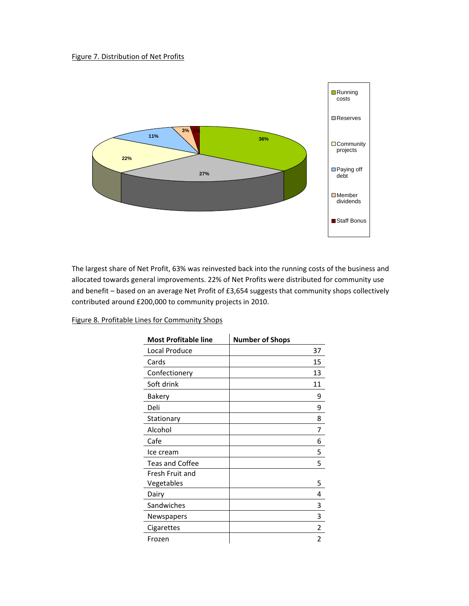#### Figure 7. Distribution of Net Profits



The largest share of Net Profit, 63% was reinvested back into the running costs of the business and allocated towards general improvements. 22% of Net Profits were distributed for community use and benefit – based on an average Net Profit of £3,654 suggests that community shops collectively contributed around £200,000 to community projects in 2010.

| <b>Most Profitable line</b> | <b>Number of Shops</b> |
|-----------------------------|------------------------|
| Local Produce               | 37                     |
| Cards                       | 15                     |
| Confectionery               | 13                     |
| Soft drink                  | 11                     |
| Bakery                      | ٩                      |
| Deli                        | 9                      |
| Stationary                  | 8                      |
| Alcohol                     | 7                      |
| Cafe                        | 6                      |
| Ice cream                   | 5                      |
| <b>Teas and Coffee</b>      | 5                      |
| Fresh Fruit and             |                        |
| Vegetables                  | 5                      |
| Dairy                       | 4                      |
| Sandwiches                  | 3                      |
| Newspapers                  | 3                      |
| Cigarettes                  | 2                      |
| Frozen                      | 2                      |

## Figure 8. Profitable Lines for Community Shops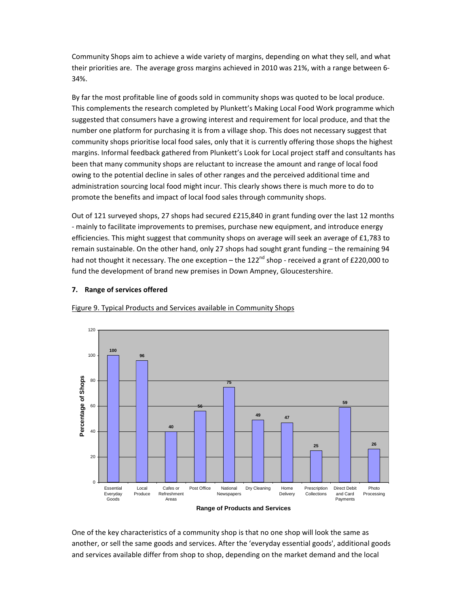Community Shops aim to achieve a wide variety of margins, depending on what they sell, and what their priorities are. The average gross margins achieved in 2010 was 21%, with a range between 6‐ 34%.

By far the most profitable line of goods sold in community shops was quoted to be local produce. This complements the research completed by Plunkett's Making Local Food Work programme which suggested that consumers have a growing interest and requirement for local produce, and that the number one platform for purchasing it is from a village shop. This does not necessary suggest that community shops prioritise local food sales, only that it is currently offering those shops the highest margins. Informal feedback gathered from Plunkett's Look for Local project staff and consultants has been that many community shops are reluctant to increase the amount and range of local food owing to the potential decline in sales of other ranges and the perceived additional time and administration sourcing local food might incur. This clearly shows there is much more to do to promote the benefits and impact of local food sales through community shops.

Out of 121 surveyed shops, 27 shops had secured £215,840 in grant funding over the last 12 months ‐ mainly to facilitate improvements to premises, purchase new equipment, and introduce energy efficiencies. This might suggest that community shops on average will seek an average of £1,783 to remain sustainable. On the other hand, only 27 shops had sought grant funding – the remaining 94 had not thought it necessary. The one exception – the  $122^{nd}$  shop - received a grant of £220,000 to fund the development of brand new premises in Down Ampney, Gloucestershire.

## **7. Range of services offered**



Figure 9. Typical Products and Services available in Community Shops

One of the key characteristics of a community shop is that no one shop will look the same as another, or sell the same goods and services. After the 'everyday essential goods', additional goods and services available differ from shop to shop, depending on the market demand and the local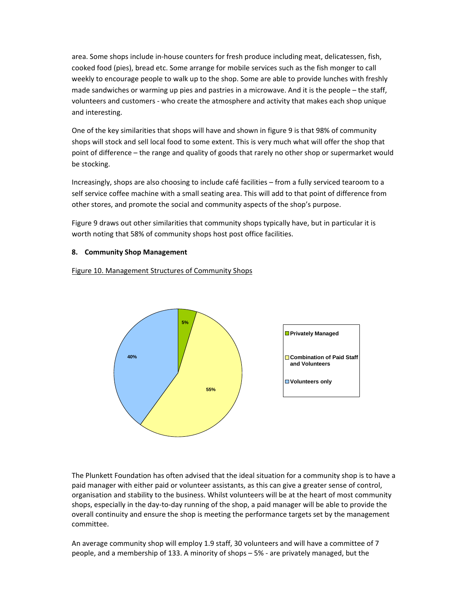area. Some shops include in‐house counters for fresh produce including meat, delicatessen, fish, cooked food (pies), bread etc. Some arrange for mobile services such as the fish monger to call weekly to encourage people to walk up to the shop. Some are able to provide lunches with freshly made sandwiches or warming up pies and pastries in a microwave. And it is the people – the staff, volunteers and customers ‐ who create the atmosphere and activity that makes each shop unique and interesting.

One of the key similarities that shops will have and shown in figure 9 is that 98% of community shops will stock and sell local food to some extent. This is very much what will offer the shop that point of difference – the range and quality of goods that rarely no other shop or supermarket would be stocking.

Increasingly, shops are also choosing to include café facilities – from a fully serviced tearoom to a self service coffee machine with a small seating area. This will add to that point of difference from other stores, and promote the social and community aspects of the shop's purpose.

Figure 9 draws out other similarities that community shops typically have, but in particular it is worth noting that 58% of community shops host post office facilities.

## **8. Community Shop Management**

Figure 10. Management Structures of Community Shops



The Plunkett Foundation has often advised that the ideal situation for a community shop is to have a paid manager with either paid or volunteer assistants, as this can give a greater sense of control, organisation and stability to the business. Whilst volunteers will be at the heart of most community shops, especially in the day-to-day running of the shop, a paid manager will be able to provide the overall continuity and ensure the shop is meeting the performance targets set by the management committee.

An average community shop will employ 1.9 staff, 30 volunteers and will have a committee of 7 people, and a membership of 133. A minority of shops – 5% ‐ are privately managed, but the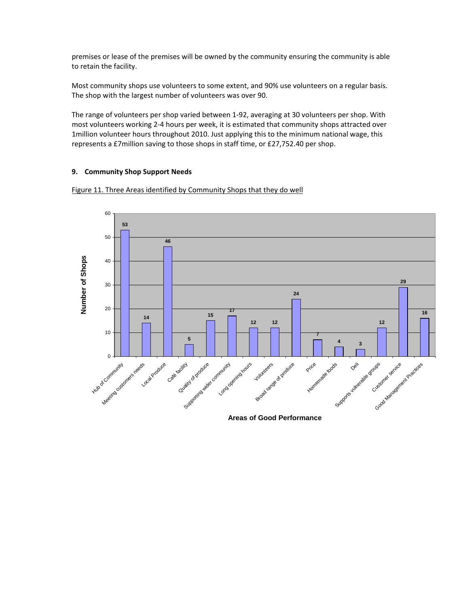premises or lease of the premises will be owned by the community ensuring the community is able to retain the facility.

Most community shops use volunteers to some extent, and 90% use volunteers on a regular basis. The shop with the largest number of volunteers was over 90.

The range of volunteers per shop varied between 1‐92, averaging at 30 volunteers per shop. With most volunteers working 2-4 hours per week, it is estimated that community shops attracted over 1million volunteer hours throughout 2010. Just applying this to the minimum national wage, this represents a £7million saving to those shops in staff time, or £27,752.40 per shop.

#### **9. Community Shop Support Needs**





**Areas of Good Performance**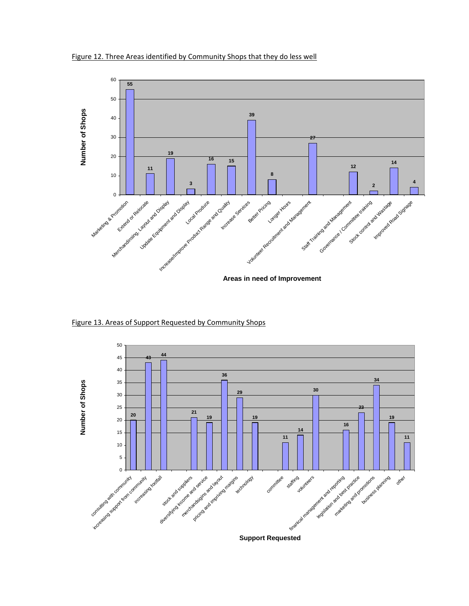



Figure 13. Areas of Support Requested by Community Shops

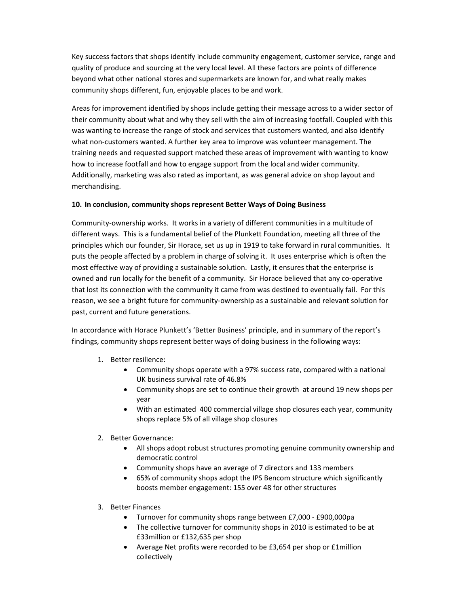Key success factors that shops identify include community engagement, customer service, range and quality of produce and sourcing at the very local level. All these factors are points of difference beyond what other national stores and supermarkets are known for, and what really makes community shops different, fun, enjoyable places to be and work.

Areas for improvement identified by shops include getting their message across to a wider sector of their community about what and why they sell with the aim of increasing footfall. Coupled with this was wanting to increase the range of stock and services that customers wanted, and also identify what non-customers wanted. A further key area to improve was volunteer management. The training needs and requested support matched these areas of improvement with wanting to know how to increase footfall and how to engage support from the local and wider community. Additionally, marketing was also rated as important, as was general advice on shop layout and merchandising.

## **10. In conclusion, community shops represent Better Ways of Doing Business**

Community‐ownership works. It works in a variety of different communities in a multitude of different ways. This is a fundamental belief of the Plunkett Foundation, meeting all three of the principles which our founder, Sir Horace, set us up in 1919 to take forward in rural communities. It puts the people affected by a problem in charge of solving it. It uses enterprise which is often the most effective way of providing a sustainable solution. Lastly, it ensures that the enterprise is owned and run locally for the benefit of a community. Sir Horace believed that any co‐operative that lost its connection with the community it came from was destined to eventually fail. For this reason, we see a bright future for community‐ownership as a sustainable and relevant solution for past, current and future generations.

In accordance with Horace Plunkett's 'Better Business' principle, and in summary of the report's findings, community shops represent better ways of doing business in the following ways:

- 1. Better resilience:
	- Community shops operate with a 97% success rate, compared with a national UK business survival rate of 46.8%
	- Community shops are set to continue their growth at around 19 new shops per year
	- With an estimated 400 commercial village shop closures each year, community shops replace 5% of all village shop closures
- 2. Better Governance:
	- All shops adopt robust structures promoting genuine community ownership and democratic control
	- Community shops have an average of 7 directors and 133 members
	- 65% of community shops adopt the IPS Bencom structure which significantly boosts member engagement: 155 over 48 for other structures
- 3. Better Finances
	- Turnover for community shops range between £7,000 ‐ £900,000pa
	- The collective turnover for community shops in 2010 is estimated to be at £33million or £132,635 per shop
	- Average Net profits were recorded to be £3,654 per shop or £1million collectively